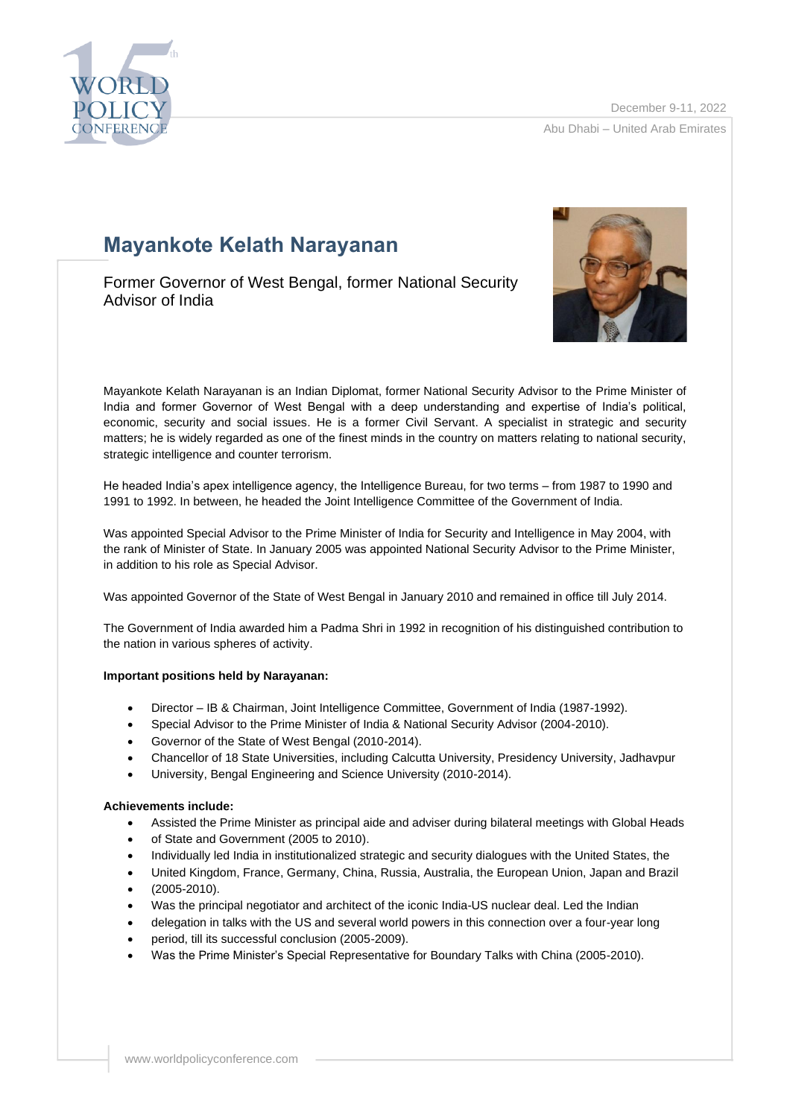December 9-11, 2022

Abu Dhabi – United Arab Emirates



# **Mayankote Kelath Narayanan**

Former Governor of West Bengal, former National Security Advisor of India



Mayankote Kelath Narayanan is an Indian Diplomat, former National Security Advisor to the Prime Minister of India and former Governor of West Bengal with a deep understanding and expertise of India's political, economic, security and social issues. He is a former Civil Servant. A specialist in strategic and security matters; he is widely regarded as one of the finest minds in the country on matters relating to national security, strategic intelligence and counter terrorism.

He headed India's apex intelligence agency, the Intelligence Bureau, for two terms – from 1987 to 1990 and 1991 to 1992. In between, he headed the Joint Intelligence Committee of the Government of India.

Was appointed Special Advisor to the Prime Minister of India for Security and Intelligence in May 2004, with the rank of Minister of State. In January 2005 was appointed National Security Advisor to the Prime Minister, in addition to his role as Special Advisor.

Was appointed Governor of the State of West Bengal in January 2010 and remained in office till July 2014.

The Government of India awarded him a Padma Shri in 1992 in recognition of his distinguished contribution to the nation in various spheres of activity.

# **Important positions held by Narayanan:**

- Director IB & Chairman, Joint Intelligence Committee, Government of India (1987-1992).
- Special Advisor to the Prime Minister of India & National Security Advisor (2004-2010).
- Governor of the State of West Bengal (2010-2014).
- Chancellor of 18 State Universities, including Calcutta University, Presidency University, Jadhavpur
- University, Bengal Engineering and Science University (2010-2014).

### **Achievements include:**

- Assisted the Prime Minister as principal aide and adviser during bilateral meetings with Global Heads
- of State and Government (2005 to 2010).
- Individually led India in institutionalized strategic and security dialogues with the United States, the
- United Kingdom, France, Germany, China, Russia, Australia, the European Union, Japan and Brazil
- (2005-2010).
- Was the principal negotiator and architect of the iconic India-US nuclear deal. Led the Indian
- delegation in talks with the US and several world powers in this connection over a four-year long
- period, till its successful conclusion (2005-2009).
- Was the Prime Minister's Special Representative for Boundary Talks with China (2005-2010).